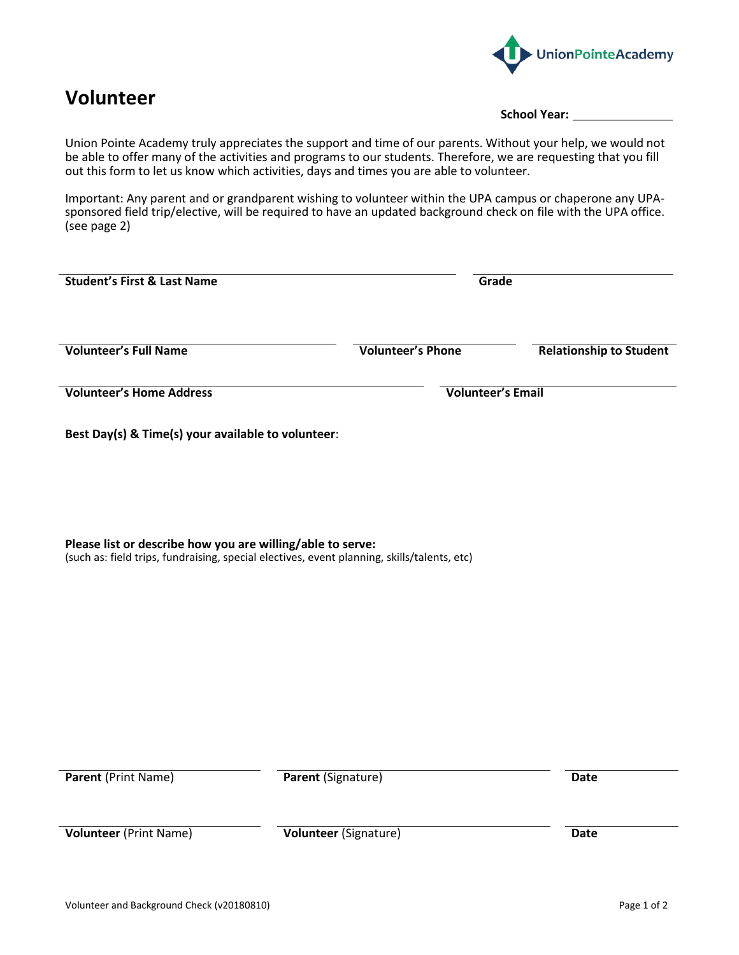

## **Volunteer**

**School Year:**

Union Pointe Academy truly appreciates the support and time of our parents. Without your help, we would not be able to offer many of the activities and programs to our students. Therefore, we are requesting that you fill out this form to let us know which activities, days and times you are able to volunteer.

Important: Any parent and or grandparent wishing to volunteer within the UPA campus or chaperone any UPAsponsored field trip/elective, will be required to have an updated background check on file with the UPA office. (see page 2)

| <b>Student's First &amp; Last Name</b>                                                                                                                    |                           | Grade                          |  |
|-----------------------------------------------------------------------------------------------------------------------------------------------------------|---------------------------|--------------------------------|--|
| <b>Volunteer's Full Name</b>                                                                                                                              | <b>Volunteer's Phone</b>  | <b>Relationship to Student</b> |  |
| <b>Volunteer's Home Address</b>                                                                                                                           |                           | <b>Volunteer's Email</b>       |  |
| Best Day(s) & Time(s) your available to volunteer:                                                                                                        |                           |                                |  |
| Please list or describe how you are willing/able to serve:<br>(such as: field trips, fundraising, special electives, event planning, skills/talents, etc) |                           |                                |  |
| <b>Parent (Print Name)</b>                                                                                                                                | <b>Parent (Signature)</b> | <b>Date</b>                    |  |
|                                                                                                                                                           |                           |                                |  |
| <b>Volunteer</b> (Print Name)                                                                                                                             | Volunteer (Signature)     | <b>Date</b>                    |  |